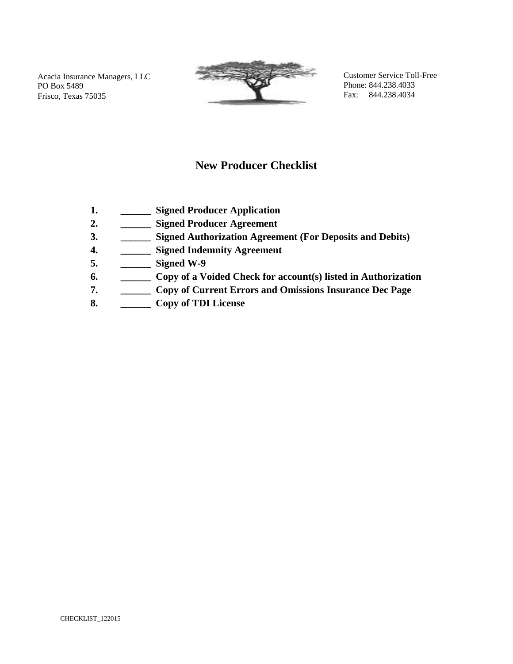Acacia Insurance Managers, LLC PO Box 5489 Frisco, Texas 75035



Customer Service Toll-Free Phone: 844.238.4033 Fax: 844.238.4034

### **New Producer Checklist**

- **1. \_\_\_\_\_\_ Signed Producer Application**
- **2. \_\_\_\_\_\_ Signed Producer Agreement**
- **3. \_\_\_\_\_\_ Signed Authorization Agreement (For Deposits and Debits)**
- **4. \_\_\_\_\_\_ Signed Indemnity Agreement**
- **5. \_\_\_\_\_\_ Signed W-9**
- **6. \_\_\_\_\_\_ Copy of a Voided Check for account(s) listed in Authorization**
- **7. \_\_\_\_\_\_ Copy of Current Errors and Omissions Insurance Dec Page**
- **8. \_\_\_\_\_\_ Copy of TDI License**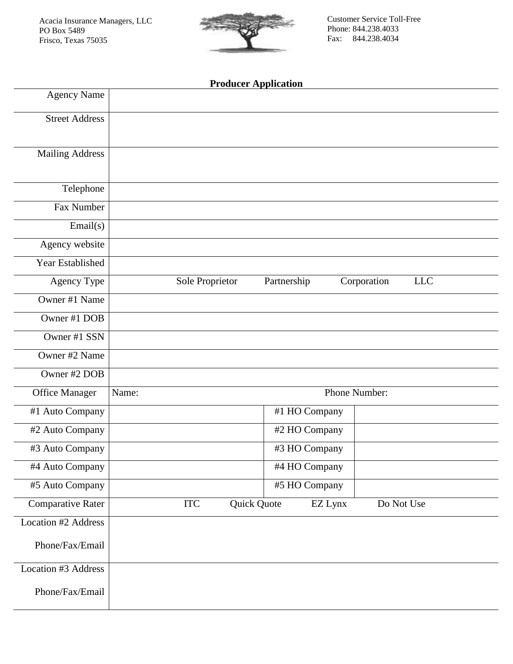

Customer Service Toll-Free Phone: 844.238.4033 Fax: 844.238.4034

### **Producer Application**

| <b>Agency Name</b>         |                 |             |               |                           |  |
|----------------------------|-----------------|-------------|---------------|---------------------------|--|
| <b>Street Address</b>      |                 |             |               |                           |  |
| <b>Mailing Address</b>     |                 |             |               |                           |  |
| Telephone                  |                 |             |               |                           |  |
| Fax Number                 |                 |             |               |                           |  |
| Email(s)                   |                 |             |               |                           |  |
| Agency website             |                 |             |               |                           |  |
| Year Established           |                 |             |               |                           |  |
| Agency Type                | Sole Proprietor | Partnership |               | Corporation<br><b>LLC</b> |  |
| Owner #1 Name              |                 |             |               |                           |  |
| Owner #1 DOB               |                 |             |               |                           |  |
| Owner #1 SSN               |                 |             |               |                           |  |
| Owner #2 Name              |                 |             |               |                           |  |
| Owner #2 DOB               |                 |             |               |                           |  |
| <b>Office Manager</b>      | Name:           |             | Phone Number: |                           |  |
| #1 Auto Company            |                 |             | #1 HO Company |                           |  |
| #2 Auto Company            |                 |             | #2 HO Company |                           |  |
| #3 Auto Company            |                 |             | #3 HO Company |                           |  |
| #4 Auto Company            |                 |             | #4 HO Company |                           |  |
| #5 Auto Company            |                 |             | #5 HO Company |                           |  |
| <b>Comparative Rater</b>   | <b>ITC</b>      | Quick Quote | EZ Lynx       | Do Not Use                |  |
| Location #2 Address        |                 |             |               |                           |  |
| Phone/Fax/Email            |                 |             |               |                           |  |
| <b>Location #3 Address</b> |                 |             |               |                           |  |
| Phone/Fax/Email            |                 |             |               |                           |  |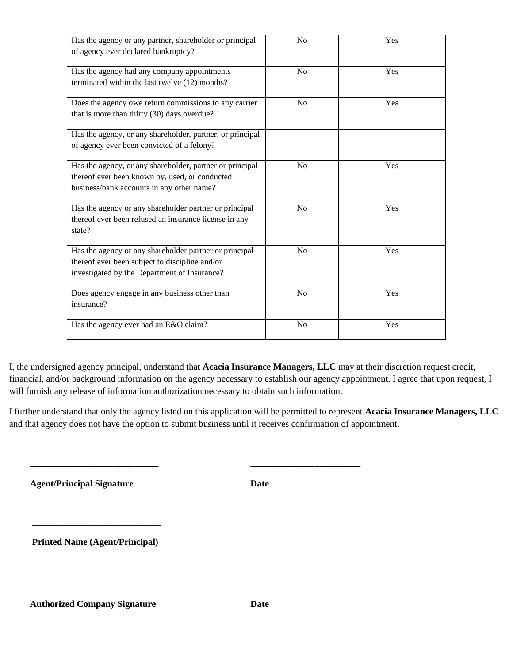| Has the agency or any partner, shareholder or principal<br>of agency ever declared bankruptcy?                                                           | No             | Yes |
|----------------------------------------------------------------------------------------------------------------------------------------------------------|----------------|-----|
| Has the agency had any company appointments<br>terminated within the last twelve (12) months?                                                            | N <sub>0</sub> | Yes |
| Does the agency owe return commissions to any carrier<br>that is more than thirty (30) days overdue?                                                     | N <sub>o</sub> | Yes |
| Has the agency, or any shareholder, partner, or principal<br>of agency ever been convicted of a felony?                                                  |                |     |
| Has the agency, or any shareholder, partner or principal<br>thereof ever been known by, used, or conducted<br>business/bank accounts in any other name?  | No             | Yes |
| Has the agency or any shareholder partner or principal<br>thereof ever been refused an insurance license in any<br>state?                                | No             | Yes |
| Has the agency or any shareholder partner or principal<br>thereof ever been subject to discipline and/or<br>investigated by the Department of Insurance? | No             | Yes |
| Does agency engage in any business other than<br>insurance?                                                                                              | No             | Yes |
| Has the agency ever had an E&O claim?                                                                                                                    | No             | Yes |

I, the undersigned agency principal, understand that **Acacia Insurance Managers, LLC** may at their discretion request credit, financial, and/or background information on the agency necessary to establish our agency appointment. I agree that upon request, I will furnish any release of information authorization necessary to obtain such information.

I further understand that only the agency listed on this application will be permitted to represent **Acacia Insurance Managers, LLC** and that agency does not have the option to submit business until it receives confirmation of appointment.

 **\_\_\_\_\_\_\_\_\_\_\_\_\_\_\_\_\_\_\_\_\_\_\_\_\_\_\_\_ \_\_\_\_\_\_\_\_\_\_\_\_\_\_\_\_\_\_\_\_\_\_\_\_**

 **\_\_\_\_\_\_\_\_\_\_\_\_\_\_\_\_\_\_\_\_\_\_\_\_\_\_\_\_ \_\_\_\_\_\_\_\_\_\_\_\_\_\_\_\_\_\_\_\_\_\_\_\_**

 **Agent/Principal Signature Date**

 **\_\_\_\_\_\_\_\_\_\_\_\_\_\_\_\_\_\_\_\_\_\_\_\_\_\_\_\_**

 **Printed Name (Agent/Principal)**

 **Authorized Company Signature Date**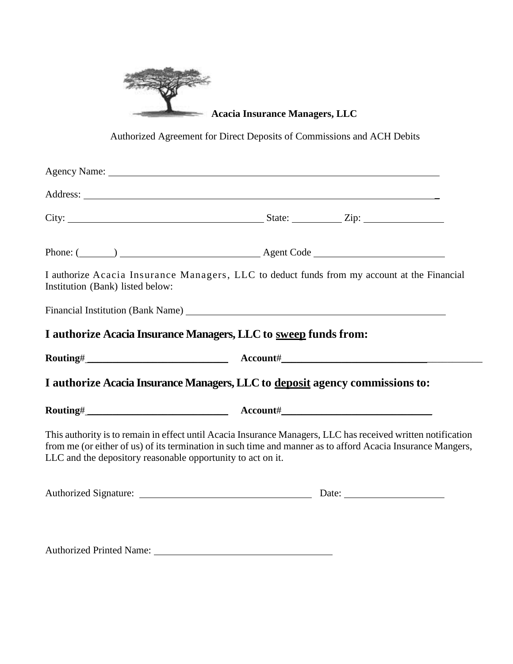

**Acacia Insurance Managers, LLC**

Authorized Agreement for Direct Deposits of Commissions and ACH Debits

| Institution (Bank) listed below:                            | I authorize Acacia Insurance Managers, LLC to deduct funds from my account at the Financial                                                                                                                                    |
|-------------------------------------------------------------|--------------------------------------------------------------------------------------------------------------------------------------------------------------------------------------------------------------------------------|
|                                                             |                                                                                                                                                                                                                                |
|                                                             | I authorize Acacia Insurance Managers, LLC to sweep funds from:                                                                                                                                                                |
|                                                             |                                                                                                                                                                                                                                |
|                                                             | I authorize Acacia Insurance Managers, LLC to deposit agency commissions to:                                                                                                                                                   |
|                                                             |                                                                                                                                                                                                                                |
| LLC and the depository reasonable opportunity to act on it. | This authority is to remain in effect until Acacia Insurance Managers, LLC has received written notification<br>from me (or either of us) of its termination in such time and manner as to afford Acacia Insurance Mangers,    |
|                                                             |                                                                                                                                                                                                                                |
|                                                             | Authorized Printed Name: 1997 March 1997 March 1997 March 1997 March 1997 March 1997 March 1997 March 1997 March 1997 March 1997 March 1997 March 1997 March 1997 March 1997 March 1997 March 1997 March 1997 March 1997 March |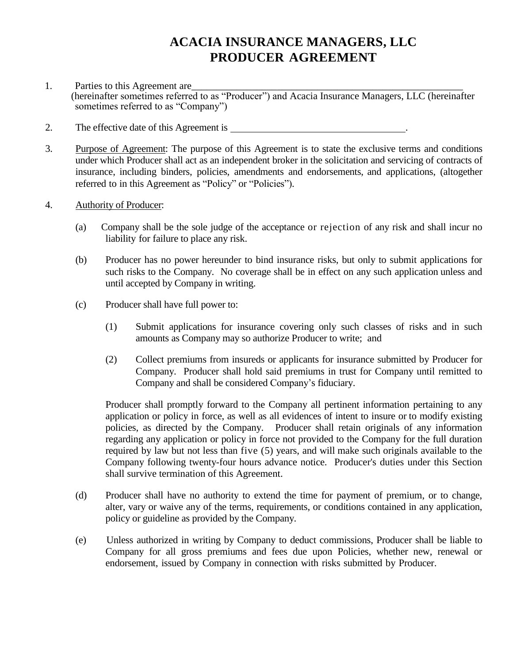# **ACACIA INSURANCE MANAGERS, LLC PRODUCER AGREEMENT**

- 1. Parties to this Agreement are (hereinafter sometimes referred to as "Producer") and Acacia Insurance Managers, LLC (hereinafter sometimes referred to as "Company")
- 2. The effective date of this Agreement is .
- 3. Purpose of Agreement: The purpose of this Agreement is to state the exclusive terms and conditions under which Producer shall act as an independent broker in the solicitation and servicing of contracts of insurance, including binders, policies, amendments and endorsements, and applications, (altogether referred to in this Agreement as "Policy" or "Policies").
- 4. Authority of Producer:
	- (a) Company shall be the sole judge of the acceptance or rejection of any risk and shall incur no liability for failure to place any risk.
	- (b) Producer has no power hereunder to bind insurance risks, but only to submit applications for such risks to the Company. No coverage shall be in effect on any such application unless and until accepted by Company in writing.
	- (c) Producer shall have full power to:
		- (1) Submit applications for insurance covering only such classes of risks and in such amounts as Company may so authorize Producer to write; and
		- (2) Collect premiums from insureds or applicants for insurance submitted by Producer for Company. Producer shall hold said premiums in trust for Company until remitted to Company and shall be considered Company's fiduciary.

Producer shall promptly forward to the Company all pertinent information pertaining to any application or policy in force, as well as all evidences of intent to insure or to modify existing policies, as directed by the Company. Producer shall retain originals of any information regarding any application or policy in force not provided to the Company for the full duration required by law but not less than five (5) years, and will make such originals available to the Company following twenty-four hours advance notice. Producer's duties under this Section shall survive termination of this Agreement.

- (d) Producer shall have no authority to extend the time for payment of premium, or to change, alter, vary or waive any of the terms, requirements, or conditions contained in any application, policy or guideline as provided by the Company.
- (e) Unless authorized in writing by Company to deduct commissions, Producer shall be liable to Company for all gross premiums and fees due upon Policies, whether new, renewal or endorsement, issued by Company in connection with risks submitted by Producer.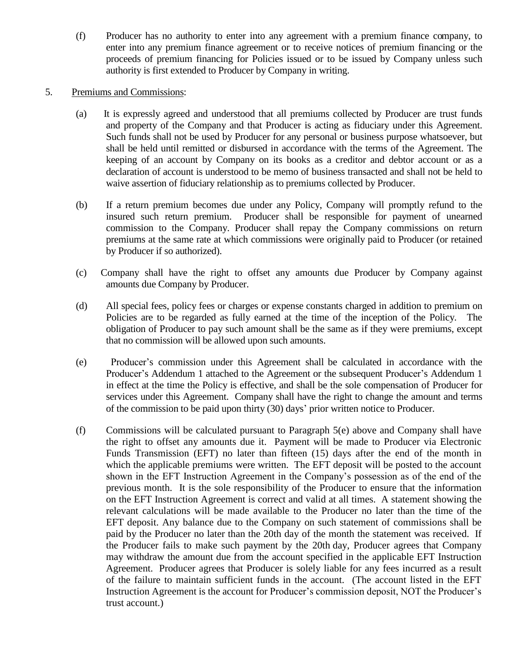(f) Producer has no authority to enter into any agreement with a premium finance company, to enter into any premium finance agreement or to receive notices of premium financing or the proceeds of premium financing for Policies issued or to be issued by Company unless such authority is first extended to Producer by Company in writing.

#### 5. Premiums and Commissions:

- (a) It is expressly agreed and understood that all premiums collected by Producer are trust funds and property of the Company and that Producer is acting as fiduciary under this Agreement. Such funds shall not be used by Producer for any personal or business purpose whatsoever, but shall be held until remitted or disbursed in accordance with the terms of the Agreement. The keeping of an account by Company on its books as a creditor and debtor account or as a declaration of account is understood to be memo of business transacted and shall not be held to waive assertion of fiduciary relationship as to premiums collected by Producer.
- (b) If a return premium becomes due under any Policy, Company will promptly refund to the insured such return premium. Producer shall be responsible for payment of unearned commission to the Company. Producer shall repay the Company commissions on return premiums at the same rate at which commissions were originally paid to Producer (or retained by Producer if so authorized).
- (c) Company shall have the right to offset any amounts due Producer by Company against amounts due Company by Producer.
- (d) All special fees, policy fees or charges or expense constants charged in addition to premium on Policies are to be regarded as fully earned at the time of the inception of the Policy. The obligation of Producer to pay such amount shall be the same as if they were premiums, except that no commission will be allowed upon such amounts.
- (e) Producer's commission under this Agreement shall be calculated in accordance with the Producer's Addendum 1 attached to the Agreement or the subsequent Producer's Addendum 1 in effect at the time the Policy is effective, and shall be the sole compensation of Producer for services under this Agreement. Company shall have the right to change the amount and terms of the commission to be paid upon thirty (30) days' prior written notice to Producer.
- (f) Commissions will be calculated pursuant to Paragraph 5(e) above and Company shall have the right to offset any amounts due it. Payment will be made to Producer via Electronic Funds Transmission (EFT) no later than fifteen (15) days after the end of the month in which the applicable premiums were written. The EFT deposit will be posted to the account shown in the EFT Instruction Agreement in the Company's possession as of the end of the previous month. It is the sole responsibility of the Producer to ensure that the information on the EFT Instruction Agreement is correct and valid at all times. A statement showing the relevant calculations will be made available to the Producer no later than the time of the EFT deposit. Any balance due to the Company on such statement of commissions shall be paid by the Producer no later than the 20th day of the month the statement was received. If the Producer fails to make such payment by the 20th day, Producer agrees that Company may withdraw the amount due from the account specified in the applicable EFT Instruction Agreement. Producer agrees that Producer is solely liable for any fees incurred as a result of the failure to maintain sufficient funds in the account. (The account listed in the EFT Instruction Agreement is the account for Producer's commission deposit, NOT the Producer's trust account.)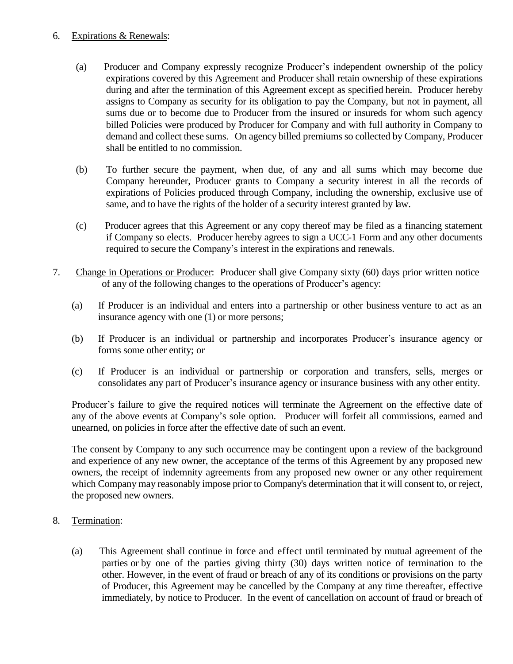#### 6. Expirations & Renewals:

- (a) Producer and Company expressly recognize Producer's independent ownership of the policy expirations covered by this Agreement and Producer shall retain ownership of these expirations during and after the termination of this Agreement except as specified herein. Producer hereby assigns to Company as security for its obligation to pay the Company, but not in payment, all sums due or to become due to Producer from the insured or insureds for whom such agency billed Policies were produced by Producer for Company and with full authority in Company to demand and collect these sums. On agency billed premiums so collected by Company, Producer shall be entitled to no commission.
- (b) To further secure the payment, when due, of any and all sums which may become due Company hereunder, Producer grants to Company a security interest in all the records of expirations of Policies produced through Company, including the ownership, exclusive use of same, and to have the rights of the holder of a security interest granted by law.
- (c) Producer agrees that this Agreement or any copy thereof may be filed as a financing statement if Company so elects. Producer hereby agrees to sign a UCC-1 Form and any other documents required to secure the Company's interest in the expirations and renewals.
- 7. Change in Operations or Producer: Producer shall give Company sixty (60) days prior written notice of any of the following changes to the operations of Producer's agency:
	- (a) If Producer is an individual and enters into a partnership or other business venture to act as an insurance agency with one (1) or more persons;
	- (b) If Producer is an individual or partnership and incorporates Producer's insurance agency or forms some other entity; or
	- (c) If Producer is an individual or partnership or corporation and transfers, sells, merges or consolidates any part of Producer's insurance agency or insurance business with any other entity.

Producer's failure to give the required notices will terminate the Agreement on the effective date of any of the above events at Company's sole option. Producer will forfeit all commissions, earned and unearned, on policies in force after the effective date of such an event.

The consent by Company to any such occurrence may be contingent upon a review of the background and experience of any new owner, the acceptance of the terms of this Agreement by any proposed new owners, the receipt of indemnity agreements from any proposed new owner or any other requirement which Company may reasonably impose prior to Company's determination that it will consent to, or reject, the proposed new owners.

- 8. Termination:
	- (a) This Agreement shall continue in force and effect until terminated by mutual agreement of the parties or by one of the parties giving thirty (30) days written notice of termination to the other. However, in the event of fraud or breach of any of its conditions or provisions on the party of Producer, this Agreement may be cancelled by the Company at any time thereafter, effective immediately, by notice to Producer. In the event of cancellation on account of fraud or breach of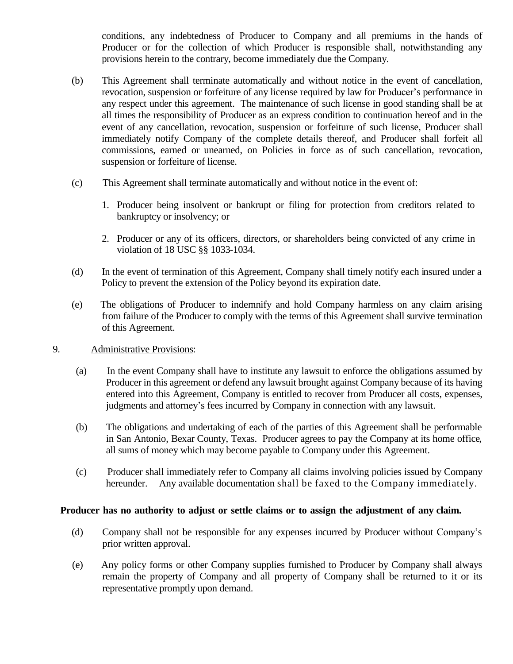conditions, any indebtedness of Producer to Company and all premiums in the hands of Producer or for the collection of which Producer is responsible shall, notwithstanding any provisions herein to the contrary, become immediately due the Company.

- (b) This Agreement shall terminate automatically and without notice in the event of cancellation, revocation, suspension or forfeiture of any license required by law for Producer's performance in any respect under this agreement. The maintenance of such license in good standing shall be at all times the responsibility of Producer as an express condition to continuation hereof and in the event of any cancellation, revocation, suspension or forfeiture of such license, Producer shall immediately notify Company of the complete details thereof, and Producer shall forfeit all commissions, earned or unearned, on Policies in force as of such cancellation, revocation, suspension or forfeiture of license.
- (c) This Agreement shall terminate automatically and without notice in the event of:
	- 1. Producer being insolvent or bankrupt or filing for protection from creditors related to bankruptcy or insolvency; or
	- 2. Producer or any of its officers, directors, or shareholders being convicted of any crime in violation of 18 USC §§ 1033-1034.
- (d) In the event of termination of this Agreement, Company shall timely notify each insured under a Policy to prevent the extension of the Policy beyond its expiration date.
- (e) The obligations of Producer to indemnify and hold Company harmless on any claim arising from failure of the Producer to comply with the terms of this Agreement shall survive termination of this Agreement.

#### 9. Administrative Provisions:

- (a) In the event Company shall have to institute any lawsuit to enforce the obligations assumed by Producer in this agreement or defend any lawsuit brought against Company because of its having entered into this Agreement, Company is entitled to recover from Producer all costs, expenses, judgments and attorney's fees incurred by Company in connection with any lawsuit.
- (b) The obligations and undertaking of each of the parties of this Agreement shall be performable in San Antonio, Bexar County, Texas. Producer agrees to pay the Company at its home office, all sums of money which may become payable to Company under this Agreement.
- (c) Producer shall immediately refer to Company all claims involving policies issued by Company hereunder. Any available documentation shall be faxed to the Company immediately.

#### **Producer has no authority to adjust or settle claims or to assign the adjustment of any claim.**

- (d) Company shall not be responsible for any expenses incurred by Producer without Company's prior written approval.
- (e) Any policy forms or other Company supplies furnished to Producer by Company shall always remain the property of Company and all property of Company shall be returned to it or its representative promptly upon demand.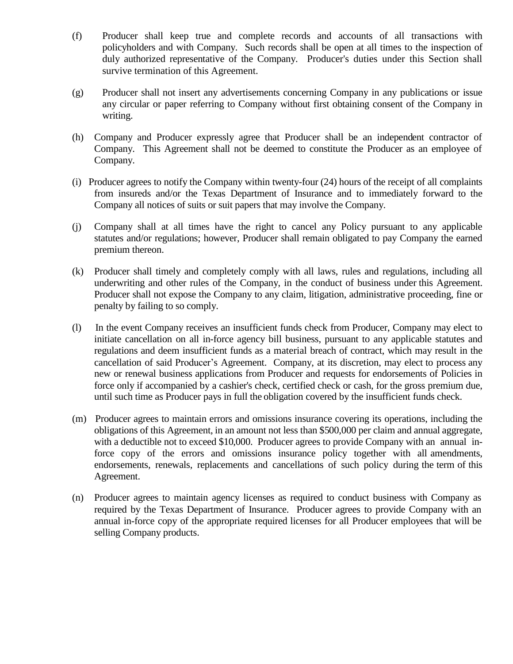- (f) Producer shall keep true and complete records and accounts of all transactions with policyholders and with Company. Such records shall be open at all times to the inspection of duly authorized representative of the Company. Producer's duties under this Section shall survive termination of this Agreement.
- (g) Producer shall not insert any advertisements concerning Company in any publications or issue any circular or paper referring to Company without first obtaining consent of the Company in writing.
- (h) Company and Producer expressly agree that Producer shall be an independent contractor of Company. This Agreement shall not be deemed to constitute the Producer as an employee of Company.
- (i) Producer agrees to notify the Company within twenty-four (24) hours of the receipt of all complaints from insureds and/or the Texas Department of Insurance and to immediately forward to the Company all notices of suits or suit papers that may involve the Company.
- (j) Company shall at all times have the right to cancel any Policy pursuant to any applicable statutes and/or regulations; however, Producer shall remain obligated to pay Company the earned premium thereon.
- (k) Producer shall timely and completely comply with all laws, rules and regulations, including all underwriting and other rules of the Company, in the conduct of business under this Agreement. Producer shall not expose the Company to any claim, litigation, administrative proceeding, fine or penalty by failing to so comply.
- (l) In the event Company receives an insufficient funds check from Producer, Company may elect to initiate cancellation on all in-force agency bill business, pursuant to any applicable statutes and regulations and deem insufficient funds as a material breach of contract, which may result in the cancellation of said Producer's Agreement. Company, at its discretion, may elect to process any new or renewal business applications from Producer and requests for endorsements of Policies in force only if accompanied by a cashier's check, certified check or cash, for the gross premium due, until such time as Producer pays in full the obligation covered by the insufficient funds check.
- (m) Producer agrees to maintain errors and omissions insurance covering its operations, including the obligations of this Agreement, in an amount not less than \$500,000 per claim and annual aggregate, with a deductible not to exceed \$10,000. Producer agrees to provide Company with an annual inforce copy of the errors and omissions insurance policy together with all amendments, endorsements, renewals, replacements and cancellations of such policy during the term of this Agreement.
- (n) Producer agrees to maintain agency licenses as required to conduct business with Company as required by the Texas Department of Insurance. Producer agrees to provide Company with an annual in-force copy of the appropriate required licenses for all Producer employees that will be selling Company products.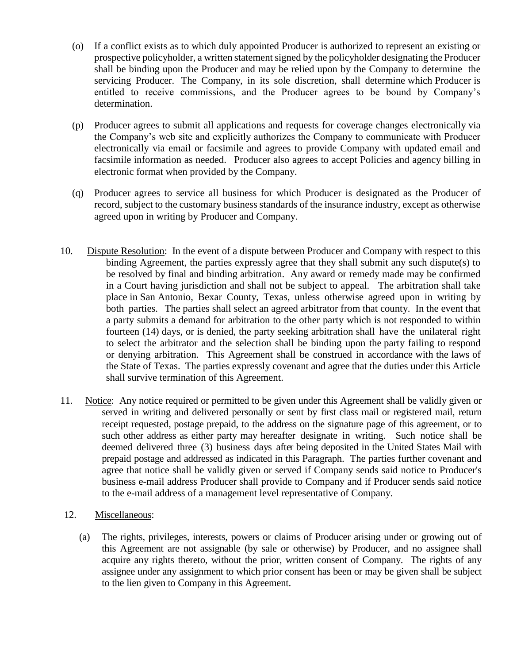- (o) If a conflict exists as to which duly appointed Producer is authorized to represent an existing or prospective policyholder, a written statement signed by the policyholder designating the Producer shall be binding upon the Producer and may be relied upon by the Company to determine the servicing Producer. The Company, in its sole discretion, shall determine which Producer is entitled to receive commissions, and the Producer agrees to be bound by Company's determination.
- (p) Producer agrees to submit all applications and requests for coverage changes electronically via the Company's web site and explicitly authorizes the Company to communicate with Producer electronically via email or facsimile and agrees to provide Company with updated email and facsimile information as needed. Producer also agrees to accept Policies and agency billing in electronic format when provided by the Company.
- (q) Producer agrees to service all business for which Producer is designated as the Producer of record, subject to the customary business standards of the insurance industry, except as otherwise agreed upon in writing by Producer and Company.
- 10. Dispute Resolution: In the event of a dispute between Producer and Company with respect to this binding Agreement, the parties expressly agree that they shall submit any such dispute(s) to be resolved by final and binding arbitration. Any award or remedy made may be confirmed in a Court having jurisdiction and shall not be subject to appeal. The arbitration shall take place in San Antonio, Bexar County, Texas, unless otherwise agreed upon in writing by both parties. The parties shall select an agreed arbitrator from that county. In the event that a party submits a demand for arbitration to the other party which is not responded to within fourteen (14) days, or is denied, the party seeking arbitration shall have the unilateral right to select the arbitrator and the selection shall be binding upon the party failing to respond or denying arbitration. This Agreement shall be construed in accordance with the laws of the State of Texas. The parties expressly covenant and agree that the duties under this Article shall survive termination of this Agreement.
- 11. Notice: Any notice required or permitted to be given under this Agreement shall be validly given or served in writing and delivered personally or sent by first class mail or registered mail, return receipt requested, postage prepaid, to the address on the signature page of this agreement, or to such other address as either party may hereafter designate in writing. Such notice shall be deemed delivered three (3) business days after being deposited in the United States Mail with prepaid postage and addressed as indicated in this Paragraph. The parties further covenant and agree that notice shall be validly given or served if Company sends said notice to Producer's business e-mail address Producer shall provide to Company and if Producer sends said notice to the e-mail address of a management level representative of Company.
- 12. Miscellaneous:
	- (a) The rights, privileges, interests, powers or claims of Producer arising under or growing out of this Agreement are not assignable (by sale or otherwise) by Producer, and no assignee shall acquire any rights thereto, without the prior, written consent of Company. The rights of any assignee under any assignment to which prior consent has been or may be given shall be subject to the lien given to Company in this Agreement.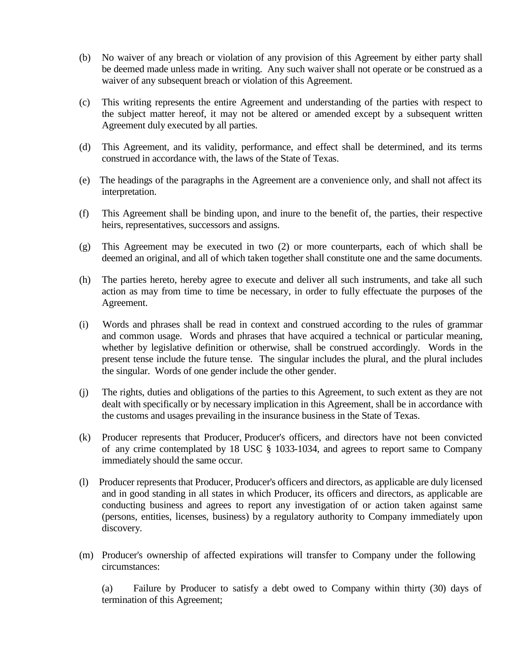- (b) No waiver of any breach or violation of any provision of this Agreement by either party shall be deemed made unless made in writing. Any such waiver shall not operate or be construed as a waiver of any subsequent breach or violation of this Agreement.
- (c) This writing represents the entire Agreement and understanding of the parties with respect to the subject matter hereof, it may not be altered or amended except by a subsequent written Agreement duly executed by all parties.
- (d) This Agreement, and its validity, performance, and effect shall be determined, and its terms construed in accordance with, the laws of the State of Texas.
- (e) The headings of the paragraphs in the Agreement are a convenience only, and shall not affect its interpretation.
- (f) This Agreement shall be binding upon, and inure to the benefit of, the parties, their respective heirs, representatives, successors and assigns.
- (g) This Agreement may be executed in two (2) or more counterparts, each of which shall be deemed an original, and all of which taken together shall constitute one and the same documents.
- (h) The parties hereto, hereby agree to execute and deliver all such instruments, and take all such action as may from time to time be necessary, in order to fully effectuate the purposes of the Agreement.
- (i) Words and phrases shall be read in context and construed according to the rules of grammar and common usage. Words and phrases that have acquired a technical or particular meaning, whether by legislative definition or otherwise, shall be construed accordingly. Words in the present tense include the future tense. The singular includes the plural, and the plural includes the singular. Words of one gender include the other gender.
- (j) The rights, duties and obligations of the parties to this Agreement, to such extent as they are not dealt with specifically or by necessary implication in this Agreement, shall be in accordance with the customs and usages prevailing in the insurance business in the State of Texas.
- (k) Producer represents that Producer, Producer's officers, and directors have not been convicted of any crime contemplated by 18 USC § 1033-1034, and agrees to report same to Company immediately should the same occur.
- (l) Producer represents that Producer, Producer's officers and directors, as applicable are duly licensed and in good standing in all states in which Producer, its officers and directors, as applicable are conducting business and agrees to report any investigation of or action taken against same (persons, entities, licenses, business) by a regulatory authority to Company immediately upon discovery.
- (m) Producer's ownership of affected expirations will transfer to Company under the following circumstances:

(a) Failure by Producer to satisfy a debt owed to Company within thirty (30) days of termination of this Agreement;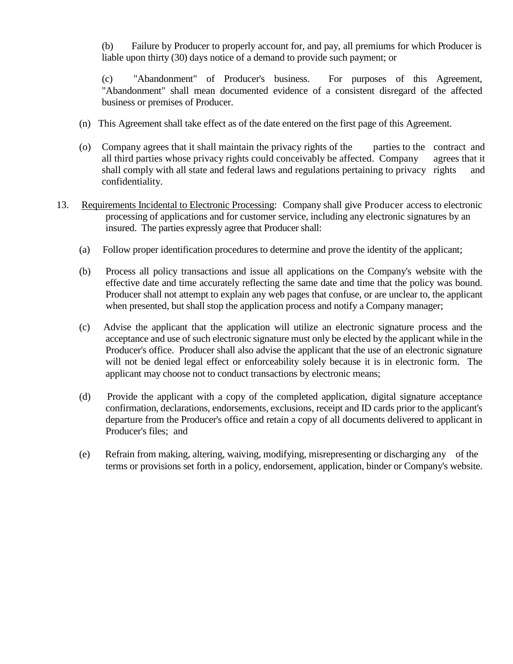(b) Failure by Producer to properly account for, and pay, all premiums for which Producer is liable upon thirty (30) days notice of a demand to provide such payment; or

(c) "Abandonment" of Producer's business. For purposes of this Agreement, "Abandonment" shall mean documented evidence of a consistent disregard of the affected business or premises of Producer.

- (n) This Agreement shall take effect as of the date entered on the first page of this Agreement.
- (o) Company agrees that it shall maintain the privacy rights of the parties to the contract and all third parties whose privacy rights could conceivably be affected. Company agrees that it shall comply with all state and federal laws and regulations pertaining to privacy rights and confidentiality.
- 13. Requirements Incidental to Electronic Processing: Company shall give Producer access to electronic processing of applications and for customer service, including any electronic signatures by an insured. The parties expressly agree that Producer shall:
	- (a) Follow proper identification procedures to determine and prove the identity of the applicant;
	- (b) Process all policy transactions and issue all applications on the Company's website with the effective date and time accurately reflecting the same date and time that the policy was bound. Producer shall not attempt to explain any web pages that confuse, or are unclear to, the applicant when presented, but shall stop the application process and notify a Company manager;
	- (c) Advise the applicant that the application will utilize an electronic signature process and the acceptance and use of such electronic signature must only be elected by the applicant while in the Producer's office. Producer shall also advise the applicant that the use of an electronic signature will not be denied legal effect or enforceability solely because it is in electronic form. The applicant may choose not to conduct transactions by electronic means;
	- (d) Provide the applicant with a copy of the completed application, digital signature acceptance confirmation, declarations, endorsements, exclusions, receipt and ID cards prior to the applicant's departure from the Producer's office and retain a copy of all documents delivered to applicant in Producer's files; and
	- (e) Refrain from making, altering, waiving, modifying, misrepresenting or discharging any of the terms or provisions set forth in a policy, endorsement, application, binder or Company's website.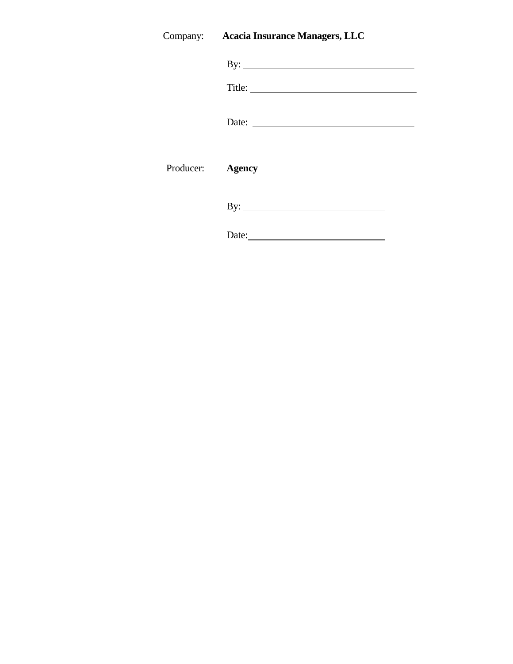## Company: **Acacia Insurance Managers, LLC**

|                  | By: $\qquad \qquad$ |
|------------------|---------------------|
|                  |                     |
|                  |                     |
| Producer: Agency |                     |
|                  | By: $\qquad \qquad$ |
|                  | Date:               |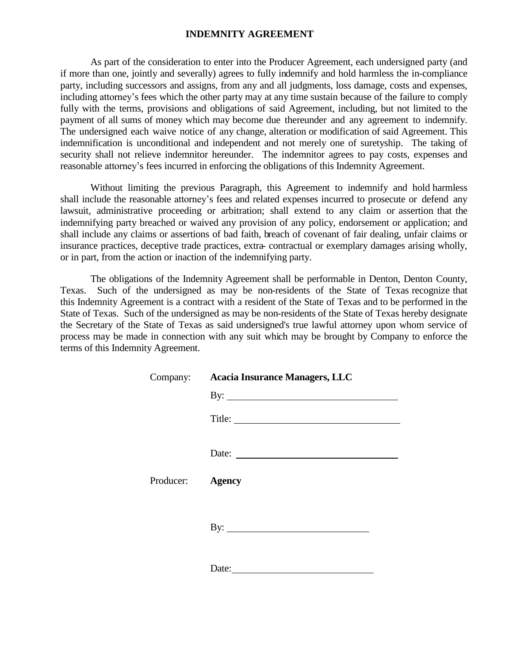#### **INDEMNITY AGREEMENT**

As part of the consideration to enter into the Producer Agreement, each undersigned party (and if more than one, jointly and severally) agrees to fully indemnify and hold harmless the in-compliance party, including successors and assigns, from any and all judgments, loss damage, costs and expenses, including attorney's fees which the other party may at any time sustain because of the failure to comply fully with the terms, provisions and obligations of said Agreement, including, but not limited to the payment of all sums of money which may become due thereunder and any agreement to indemnify. The undersigned each waive notice of any change, alteration or modification of said Agreement. This indemnification is unconditional and independent and not merely one of suretyship. The taking of security shall not relieve indemnitor hereunder. The indemnitor agrees to pay costs, expenses and reasonable attorney's fees incurred in enforcing the obligations of this Indemnity Agreement.

Without limiting the previous Paragraph, this Agreement to indemnify and hold harmless shall include the reasonable attorney's fees and related expenses incurred to prosecute or defend any lawsuit, administrative proceeding or arbitration; shall extend to any claim or assertion that the indemnifying party breached or waived any provision of any policy, endorsement or application; and shall include any claims or assertions of bad faith, breach of covenant of fair dealing, unfair claims or insurance practices, deceptive trade practices, extra- contractual or exemplary damages arising wholly, or in part, from the action or inaction of the indemnifying party.

The obligations of the Indemnity Agreement shall be performable in Denton, Denton County, Texas. Such of the undersigned as may be non-residents of the State of Texas recognize that this Indemnity Agreement is a contract with a resident of the State of Texas and to be performed in the State of Texas. Such of the undersigned as may be non-residents of the State of Texas hereby designate the Secretary of the State of Texas as said undersigned's true lawful attorney upon whom service of process may be made in connection with any suit which may be brought by Company to enforce the terms of this Indemnity Agreement.

|                  | Company: Acacia Insurance Managers, LLC |  |  |
|------------------|-----------------------------------------|--|--|
|                  | By: $\qquad \qquad$                     |  |  |
|                  |                                         |  |  |
|                  | Date:                                   |  |  |
| Producer: Agency |                                         |  |  |
|                  | By: $\qquad \qquad$                     |  |  |
|                  | Date: $\qquad \qquad$                   |  |  |